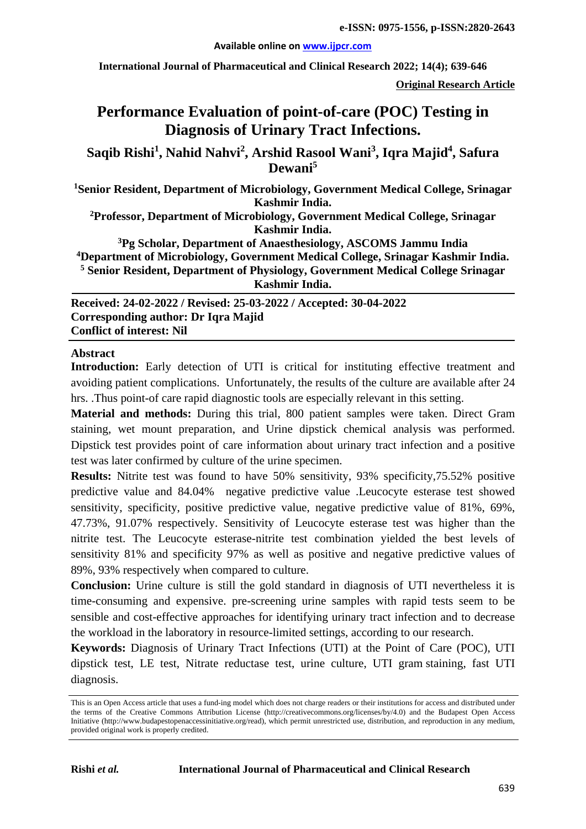#### **Available online on [www.ijpcr.com](http://www.ijpcr.com/)**

**International Journal of Pharmaceutical and Clinical Research 2022; 14(4); 639-646**

**Original Research Article**

# **Performance Evaluation of point-of-care (POC) Testing in Diagnosis of Urinary Tract Infections.**

**Saqib Rishi<sup>1</sup> , Nahid Nahvi<sup>2</sup> , Arshid Rasool Wani3 , Iqra Majid4 , Safura Dewani<sup>5</sup>**

**1 Senior Resident, Department of Microbiology, Government Medical College, Srinagar Kashmir India.**

**2 Professor, Department of Microbiology, Government Medical College, Srinagar Kashmir India.**

**3 Pg Scholar, Department of Anaesthesiology, ASCOMS Jammu India 4Department of Microbiology, Government Medical College, Srinagar Kashmir India. <sup>5</sup> Senior Resident, Department of Physiology, Government Medical College Srinagar Kashmir India.**

**Received: 24-02-2022 / Revised: 25-03-2022 / Accepted: 30-04-2022 Corresponding author: Dr Iqra Majid Conflict of interest: Nil**

## **Abstract**

Introduction: Early detection of UTI is critical for instituting effective treatment and avoiding patient complications. Unfortunately, the results of the culture are available after 24 hrs. .Thus point-of care rapid diagnostic tools are especially relevant in this setting.

**Material and methods:** During this trial, 800 patient samples were taken. Direct Gram staining, wet mount preparation, and Urine dipstick chemical analysis was performed. Dipstick test provides point of care information about urinary tract infection and a positive test was later confirmed by culture of the urine specimen.

**Results:** Nitrite test was found to have 50% sensitivity, 93% specificity,75.52% positive predictive value and 84.04% negative predictive value .Leucocyte esterase test showed sensitivity, specificity, positive predictive value, negative predictive value of 81%, 69%, 47.73%, 91.07% respectively. Sensitivity of Leucocyte esterase test was higher than the nitrite test. The Leucocyte esterase-nitrite test combination yielded the best levels of sensitivity 81% and specificity 97% as well as positive and negative predictive values of 89%, 93% respectively when compared to culture.

**Conclusion:** Urine culture is still the gold standard in diagnosis of UTI nevertheless it is time-consuming and expensive. pre-screening urine samples with rapid tests seem to be sensible and cost-effective approaches for identifying urinary tract infection and to decrease the workload in the laboratory in resource-limited settings, according to our research.

**Keywords:** Diagnosis of Urinary Tract Infections (UTI) at the Point of Care (POC), UTI dipstick test, LE test, Nitrate reductase test, urine culture, UTI gram staining, fast UTI diagnosis.

This is an Open Access article that uses a fund-ing model which does not charge readers or their institutions for access and distributed under the terms of the Creative Commons Attribution License (http://creativecommons.org/licenses/by/4.0) and the Budapest Open Access Initiative (http://www.budapestopenaccessinitiative.org/read), which permit unrestricted use, distribution, and reproduction in any medium, provided original work is properly credited.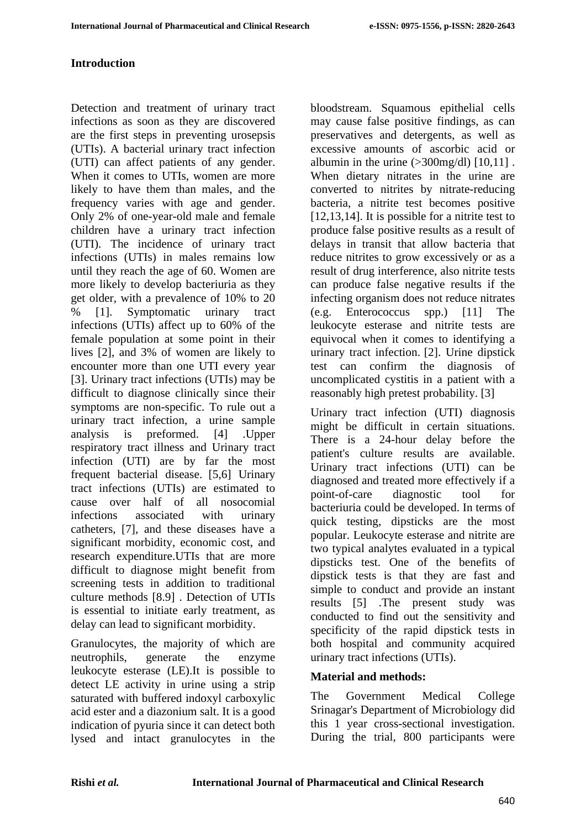## **Introduction**

Detection and treatment of urinary tract infections as soon as they are discovered are the first steps in preventing urosepsis (UTIs). A bacterial urinary tract infection (UTI) can affect patients of any gender. When it comes to UTIs, women are more likely to have them than males, and the frequency varies with age and gender. Only 2% of one-year-old male and female children have a urinary tract infection (UTI). The incidence of urinary tract infections (UTIs) in males remains low until they reach the age of 60. Women are more likely to develop bacteriuria as they get older, with a prevalence of 10% to 20 % [1]. Symptomatic urinary tract infections (UTIs) affect up to 60% of the female population at some point in their lives [2], and 3% of women are likely to encounter more than one UTI every year [3]. Urinary tract infections (UTIs) may be difficult to diagnose clinically since their symptoms are non-specific. To rule out a urinary tract infection, a urine sample analysis is preformed. [4] .Upper respiratory tract illness and Urinary tract infection (UTI) are by far the most frequent bacterial disease. [5,6] Urinary tract infections (UTIs) are estimated to cause over half of all nosocomial infections associated with urinary catheters, [7], and these diseases have a significant morbidity, economic cost, and research expenditure.UTIs that are more difficult to diagnose might benefit from screening tests in addition to traditional culture methods [8.9] . Detection of UTIs is essential to initiate early treatment, as delay can lead to significant morbidity.

Granulocytes, the majority of which are neutrophils, generate the enzyme leukocyte esterase (LE).It is possible to detect LE activity in urine using a strip saturated with buffered indoxyl carboxylic acid ester and a diazonium salt. It is a good indication of pyuria since it can detect both lysed and intact granulocytes in the bloodstream. Squamous epithelial cells may cause false positive findings, as can preservatives and detergents, as well as excessive amounts of ascorbic acid or albumin in the urine  $(>300$ mg/dl $)$  [10,11]. When dietary nitrates in the urine are converted to nitrites by nitrate-reducing bacteria, a nitrite test becomes positive [12,13,14]. It is possible for a nitrite test to produce false positive results as a result of delays in transit that allow bacteria that reduce nitrites to grow excessively or as a result of drug interference, also nitrite tests can produce false negative results if the infecting organism does not reduce nitrates (e.g. Enterococcus spp.) [11] The leukocyte esterase and nitrite tests are equivocal when it comes to identifying a urinary tract infection. [2]. Urine dipstick test can confirm the diagnosis of uncomplicated cystitis in a patient with a reasonably high pretest probability. [3]

Urinary tract infection (UTI) diagnosis might be difficult in certain situations. There is a 24-hour delay before the patient's culture results are available. Urinary tract infections (UTI) can be diagnosed and treated more effectively if a point-of-care diagnostic tool for bacteriuria could be developed. In terms of quick testing, dipsticks are the most popular. Leukocyte esterase and nitrite are two typical analytes evaluated in a typical dipsticks test. One of the benefits of dipstick tests is that they are fast and simple to conduct and provide an instant results [5] .The present study was conducted to find out the sensitivity and specificity of the rapid dipstick tests in both hospital and community acquired urinary tract infections (UTIs).

# **Material and methods:**

The Government Medical College Srinagar's Department of Microbiology did this 1 year cross-sectional investigation. During the trial, 800 participants were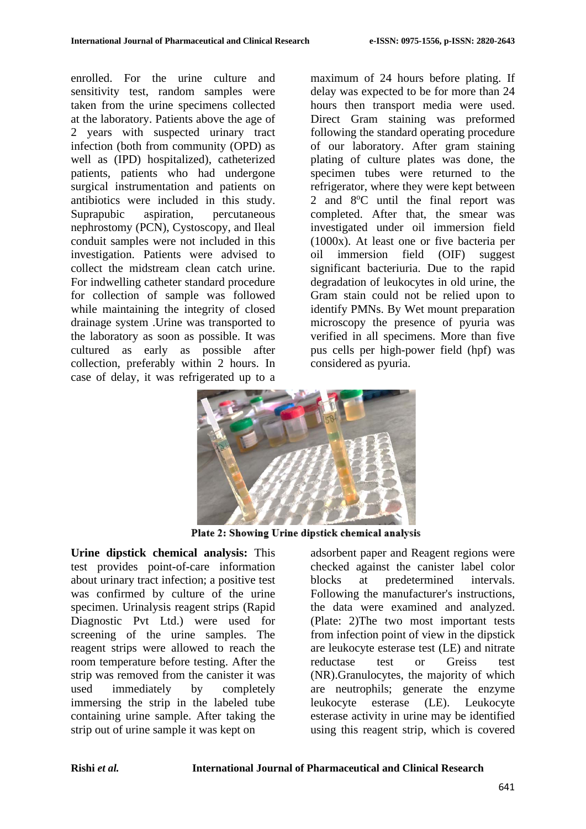enrolled. For the urine culture and sensitivity test, random samples were taken from the urine specimens collected at the laboratory. Patients above the age of 2 years with suspected urinary tract infection (both from community (OPD) as well as (IPD) hospitalized), catheterized patients, patients who had undergone surgical instrumentation and patients on antibiotics were included in this study. Suprapubic aspiration, percutaneous nephrostomy (PCN), Cystoscopy, and Ileal conduit samples were not included in this investigation. Patients were advised to collect the midstream clean catch urine. For indwelling catheter standard procedure for collection of sample was followed while maintaining the integrity of closed drainage system .Urine was transported to the laboratory as soon as possible. It was cultured as early as possible after collection, preferably within 2 hours. In case of delay, it was refrigerated up to a

maximum of 24 hours before plating. If delay was expected to be for more than 24 hours then transport media were used. Direct Gram staining was preformed following the standard operating procedure of our laboratory. After gram staining plating of culture plates was done, the specimen tubes were returned to the refrigerator, where they were kept between 2 and 8°C until the final report was completed. After that, the smear was investigated under oil immersion field (1000x). At least one or five bacteria per oil immersion field (OIF) suggest significant bacteriuria. Due to the rapid degradation of leukocytes in old urine, the Gram stain could not be relied upon to identify PMNs. By Wet mount preparation microscopy the presence of pyuria was verified in all specimens. More than five pus cells per high-power field (hpf) was considered as pyuria.



Plate 2: Showing Urine dipstick chemical analysis

**Urine dipstick chemical analysis:** This test provides point-of-care information about urinary tract infection; a positive test was confirmed by culture of the urine specimen. Urinalysis reagent strips (Rapid Diagnostic Pvt Ltd.) were used for screening of the urine samples. The reagent strips were allowed to reach the room temperature before testing. After the strip was removed from the canister it was used immediately by completely immersing the strip in the labeled tube containing urine sample. After taking the strip out of urine sample it was kept on

adsorbent paper and Reagent regions were checked against the canister label color blocks at predetermined intervals. Following the manufacturer's instructions, the data were examined and analyzed. (Plate: 2)The two most important tests from infection point of view in the dipstick are leukocyte esterase test (LE) and nitrate reductase test or Greiss test (NR).Granulocytes, the majority of which are neutrophils; generate the enzyme leukocyte esterase (LE). Leukocyte esterase activity in urine may be identified using this reagent strip, which is covered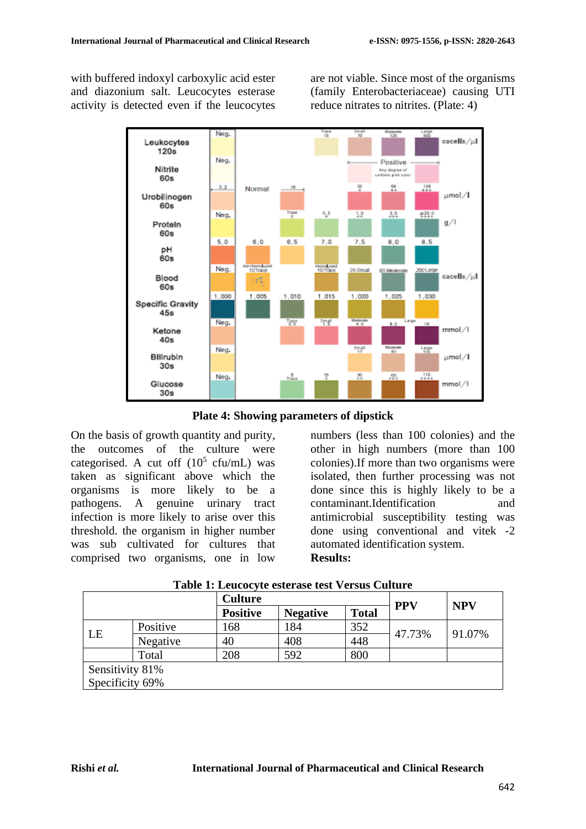with buffered indoxyl carboxylic acid ester and diazonium salt. Leucocytes esterase activity is detected even if the leucocytes are not viable. Since most of the organisms (family Enterobacteriaceae) causing UTI reduce nitrates to nitrites. (Plate: 4)



**Plate 4: Showing parameters of dipstick**

On the basis of growth quantity and purity, the outcomes of the culture were categorised. A cut off  $(10^5 \text{ cft/mL})$  was taken as significant above which the organisms is more likely to be a pathogens. A genuine urinary tract infection is more likely to arise over this threshold. the organism in higher number was sub cultivated for cultures that comprised two organisms, one in low

numbers (less than 100 colonies) and the other in high numbers (more than 100 colonies).If more than two organisms were isolated, then further processing was not done since this is highly likely to be a contaminant.Identification and antimicrobial susceptibility testing was done using conventional and vitek -2 automated identification system. **Results:**

|                 |          | <b>Culture</b>  |                 |              |            | <b>NPV</b> |
|-----------------|----------|-----------------|-----------------|--------------|------------|------------|
|                 |          | <b>Positive</b> | <b>Negative</b> | <b>Total</b> | <b>PPV</b> |            |
| LE              | Positive | 168             | 184             | 352          | 47.73%     | 91.07%     |
|                 | Negative | 40              | 408             | 448          |            |            |
|                 | Total    | 208             | 592             | 800          |            |            |
| Sensitivity 81% |          |                 |                 |              |            |            |
| Specificity 69% |          |                 |                 |              |            |            |

| Table 1: Leucocyte esterase test Versus Culture |  |  |  |  |  |
|-------------------------------------------------|--|--|--|--|--|
|-------------------------------------------------|--|--|--|--|--|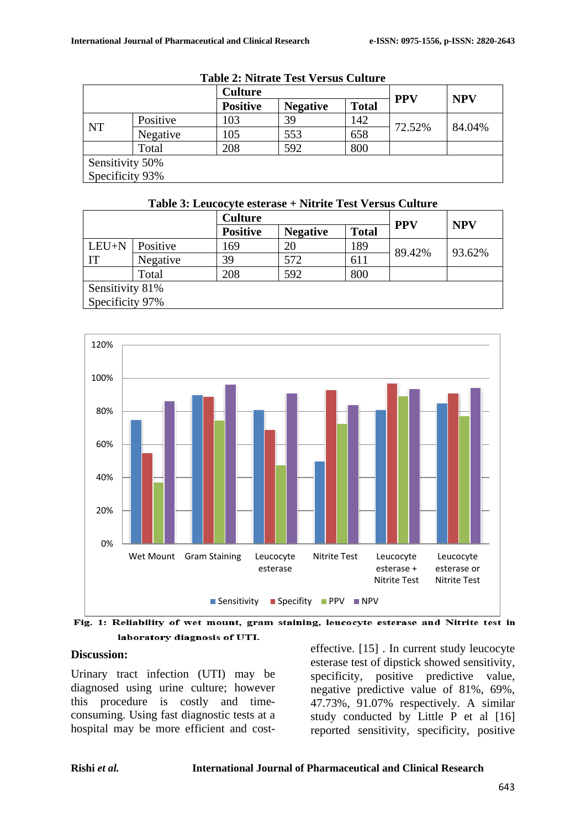|                 |          | <b>Culture</b>  |                 |              | <b>PPV</b> | <b>NPV</b> |
|-----------------|----------|-----------------|-----------------|--------------|------------|------------|
|                 |          | <b>Positive</b> | <b>Negative</b> | <b>Total</b> |            |            |
| <b>NT</b>       | Positive | 103             | 39              | 142          | 72.52%     | 84.04%     |
|                 | Negative | 105             | 553             | 658          |            |            |
|                 | Total    | 208             | 592             | 800          |            |            |
| Sensitivity 50% |          |                 |                 |              |            |            |
| Specificity 93% |          |                 |                 |              |            |            |

| <b>Table 2: Nitrate Test Versus Culture</b> |  |  |  |
|---------------------------------------------|--|--|--|
|---------------------------------------------|--|--|--|

### **Table 3: Leucocyte esterase + Nitrite Test Versus Culture**

|                 |          | <b>Culture</b>  |                 |              |            | <b>NPV</b> |  |
|-----------------|----------|-----------------|-----------------|--------------|------------|------------|--|
|                 |          | <b>Positive</b> | <b>Negative</b> | <b>Total</b> | <b>PPV</b> |            |  |
| LEU+N           | Positive | 169             | 20              | 189          | 89.42%     | 93.62%     |  |
| IT              | Negative | 39              | 572             | 611          |            |            |  |
|                 | Total    | 208             | 592             | 800          |            |            |  |
| Sensitivity 81% |          |                 |                 |              |            |            |  |
| Specificity 97% |          |                 |                 |              |            |            |  |



Fig. 1: Reliability of wet mount, gram staining, leucocyte esterase and Nitrite test in laboratory diagnosis of UTI.

### **Discussion:**

Urinary tract infection (UTI) may be diagnosed using urine culture; however this procedure is costly and timeconsuming. Using fast diagnostic tests at a hospital may be more efficient and costeffective. [15] . In current study leucocyte esterase test of dipstick showed sensitivity, specificity, positive predictive value, negative predictive value of 81%, 69%, 47.73%, 91.07% respectively. A similar study conducted by Little P et al [16] reported sensitivity, specificity, positive

#### **Rishi** *et al.* **International Journal of Pharmaceutical and Clinical Research**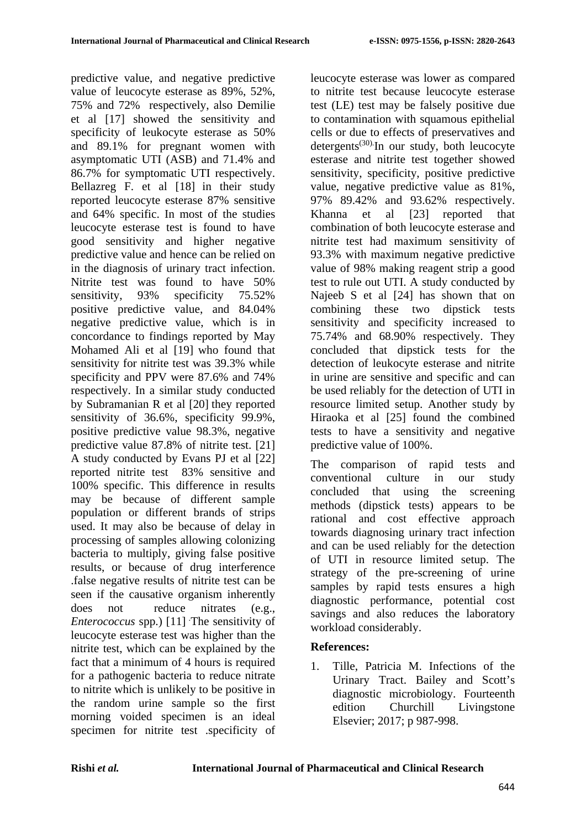predictive value, and negative predictive value of leucocyte esterase as 89%, 52%, 75% and 72% respectively, also Demilie et al [17] showed the sensitivity and specificity of leukocyte esterase as 50% and 89.1% for pregnant women with asymptomatic UTI (ASB) and 71.4% and 86.7% for symptomatic UTI respectively. Bellazreg F. et al [18] in their study reported leucocyte esterase 87% sensitive and 64% specific. In most of the studies leucocyte esterase test is found to have good sensitivity and higher negative predictive value and hence can be relied on in the diagnosis of urinary tract infection. Nitrite test was found to have 50% sensitivity, 93% specificity 75.52% positive predictive value, and 84.04% negative predictive value, which is in concordance to findings reported by May Mohamed Ali et al [19] who found that sensitivity for nitrite test was 39.3% while specificity and PPV were 87.6% and 74% respectively. In a similar study conducted by Subramanian R et al [20] they reported sensitivity of 36.6%, specificity 99.9%, positive predictive value 98.3%, negative predictive value 87.8% of nitrite test. [21] A study conducted by Evans PJ et al [22] reported nitrite test 83% sensitive and 100% specific. This difference in results may be because of different sample population or different brands of strips used. It may also be because of delay in processing of samples allowing colonizing bacteria to multiply, giving false positive results, or because of drug interference .false negative results of nitrite test can be seen if the causative organism inherently does not reduce nitrates (e.g., *Enterococcus* spp.) [11] . The sensitivity of leucocyte esterase test was higher than the nitrite test, which can be explained by the fact that a minimum of 4 hours is required for a pathogenic bacteria to reduce nitrate to nitrite which is unlikely to be positive in the random urine sample so the first morning voided specimen is an ideal specimen for nitrite test .specificity of leucocyte esterase was lower as compared to nitrite test because leucocyte esterase test (LE) test may be falsely positive due to contamination with squamous epithelial cells or due to effects of preservatives and  $determination$  $\frac{d}{dt}$ . In our study, both leucocyte esterase and nitrite test together showed sensitivity, specificity, positive predictive value, negative predictive value as 81%, 97% 89.42% and 93.62% respectively. Khanna et al [23] reported that combination of both leucocyte esterase and nitrite test had maximum sensitivity of 93.3% with maximum negative predictive value of 98% making reagent strip a good test to rule out UTI. A study conducted by Najeeb S et al [24] has shown that on combining these two dipstick tests sensitivity and specificity increased to 75.74% and 68.90% respectively. They concluded that dipstick tests for the detection of leukocyte esterase and nitrite in urine are sensitive and specific and can be used reliably for the detection of UTI in resource limited setup. Another study by Hiraoka et al [25] found the combined tests to have a sensitivity and negative predictive value of 100%.

The comparison of rapid tests and conventional culture in our study concluded that using the screening methods (dipstick tests) appears to be rational and cost effective approach towards diagnosing urinary tract infection and can be used reliably for the detection of UTI in resource limited setup. The strategy of the pre-screening of urine samples by rapid tests ensures a high diagnostic performance, potential cost savings and also reduces the laboratory workload considerably.

# **References:**

1. Tille, Patricia M. Infections of the Urinary Tract. Bailey and Scott's diagnostic microbiology. Fourteenth edition Churchill Livingstone Elsevier; 2017; p 987-998.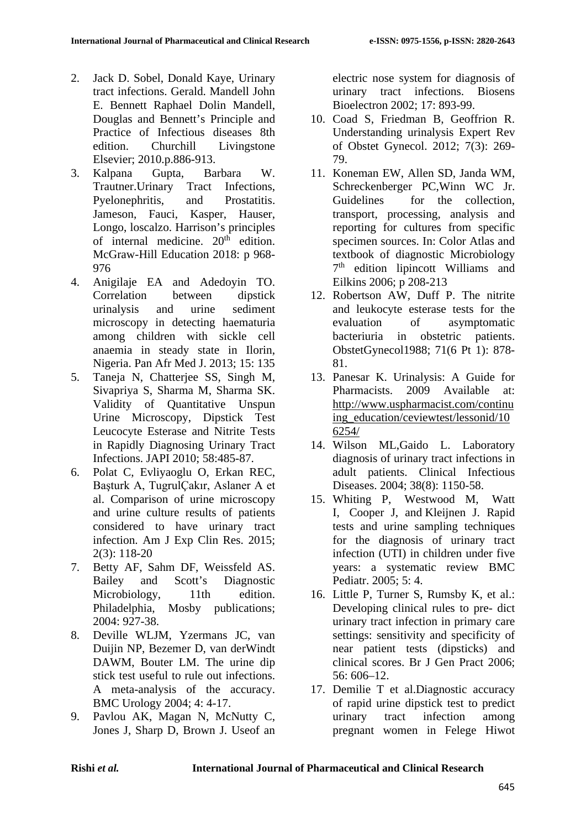- 2. Jack D. Sobel, Donald Kaye, Urinary tract infections. Gerald. Mandell John E. Bennett Raphael Dolin Mandell, Douglas and Bennett's Principle and Practice of Infectious diseases 8th edition. Churchill Livingstone Elsevier; 2010.p.886-913.
- 3. Kalpana Gupta, Barbara W. Trautner.Urinary Tract Infections, Pyelonephritis, and Prostatitis. Jameson, Fauci, Kasper, Hauser, Longo, loscalzo. Harrison's principles of internal medicine.  $20<sup>th</sup>$  edition. McGraw-Hill Education 2018: p 968- 976
- 4. [Anigilaje](https://www.ncbi.nlm.nih.gov/pubmed/?term=Anigilaje%20EA%5BAuthor%5D&cauthor=true&cauthor_uid=24319525) EA and [Adedoyin](https://www.ncbi.nlm.nih.gov/pubmed/?term=Adedoyin%20OT%5BAuthor%5D&cauthor=true&cauthor_uid=24319525) TO. Correlation between dipstick urinalysis and urine sediment microscopy in detecting haematuria among children with sickle cell anaemia in steady state in Ilorin, Nigeria. [Pan Afr](https://www.ncbi.nlm.nih.gov/pmc/articles/PMC3852513/) Med J. 2013; 15: 135
- 5. Taneja N, Chatterjee SS, Singh M, Sivapriya S, Sharma M, Sharma SK. Validity of Quantitative Unspun Urine Microscopy, Dipstick Test Leucocyte Esterase and Nitrite Tests in Rapidly Diagnosing Urinary Tract Infections. JAPI 2010; 58:485-87.
- 6. Polat C, Evliyaoglu O, Erkan REC, Başturk A, TugrulÇakır, Aslaner A et al. Comparison of urine microscopy and urine culture results of patients considered to have urinary tract infection. Am J Exp Clin Res. 2015; 2(3): 118-20
- 7. Betty AF, Sahm DF, Weissfeld AS. Bailey and Scott's Diagnostic Microbiology, 11th edition. Philadelphia, Mosby publications; 2004: 927-38.
- 8. Deville WLJM, Yzermans JC, van Duijin NP, Bezemer D, van derWindt DAWM, Bouter LM. The urine dip stick test useful to rule out infections. A meta-analysis of the accuracy. BMC Urology 2004; 4: 4-17.
- 9. Pavlou AK, Magan N, McNutty C, Jones J, Sharp D, Brown J. Useof an

electric nose system for diagnosis of urinary tract infections. Biosens Bioelectron 2002; 17: 893-99.

- 10. Coad S, Friedman B, Geoffrion R. Understanding urinalysis Expert Rev of Obstet Gynecol. 2012; 7(3): 269- 79.
- 11. Koneman EW, Allen SD, Janda WM, Schreckenberger PC,Winn WC Jr. Guidelines for the collection, transport, processing, analysis and reporting for cultures from specific specimen sources. In: Color Atlas and textbook of diagnostic Microbiology 7th edition lipincott Williams and Eilkins 2006; p 208-213
- 12. Robertson AW, Duff P. The nitrite and leukocyte esterase tests for the evaluation of asymptomatic bacteriuria in obstetric patients. ObstetGynecol1988; 71(6 Pt 1): 878- 81.
- 13. Panesar K. Urinalysis: A Guide for Pharmacists. 2009 Available at: [http://www.uspharmacist.com/continu](http://www.uspharmacist.com/continuing_education/ceviewtest/lessonid/106254/) [ing\\_education/ceviewtest/lessonid/10](http://www.uspharmacist.com/continuing_education/ceviewtest/lessonid/106254/) [6254/](http://www.uspharmacist.com/continuing_education/ceviewtest/lessonid/106254/)
- 14. Wilson ML,Gaido L. Laboratory diagnosis of urinary tract infections in adult patients. Clinical Infectious Diseases. 2004; 38(8): 1150-58.
- 15. [Whiting](https://www.ncbi.nlm.nih.gov/pubmed/?term=Whiting%20P%5BAuthor%5D&cauthor=true&cauthor_uid=15811182) P, [Westwood](https://www.ncbi.nlm.nih.gov/pubmed/?term=Westwood%20M%5BAuthor%5D&cauthor=true&cauthor_uid=15811182) M, [Watt](https://www.ncbi.nlm.nih.gov/pubmed/?term=Watt%20I%5BAuthor%5D&cauthor=true&cauthor_uid=15811182) I, [Cooper](https://www.ncbi.nlm.nih.gov/pubmed/?term=Cooper%20J%5BAuthor%5D&cauthor=true&cauthor_uid=15811182) J, and [Kleijnen](https://www.ncbi.nlm.nih.gov/pubmed/?term=Kleijnen%20J%5BAuthor%5D&cauthor=true&cauthor_uid=15811182) J. Rapid tests and urine sampling techniques for the diagnosis of urinary tract infection (UTI) in children under five years: a systematic review [BMC](https://www.ncbi.nlm.nih.gov/pmc/articles/PMC1084351/)  [Pediatr.](https://www.ncbi.nlm.nih.gov/pmc/articles/PMC1084351/) 2005; 5: 4.
- 16. Little P, Turner S, Rumsby K, et al.: Developing clinical rules to pre- dict urinary tract infection in primary care settings: sensitivity and specificity of near patient tests (dipsticks) and clinical scores. Br J Gen Pract 2006; 56: 606–12.
- 17. Demilie T et al.Diagnostic accuracy of rapid urine dipstick test to predict urinary tract infection among pregnant women in Felege Hiwot